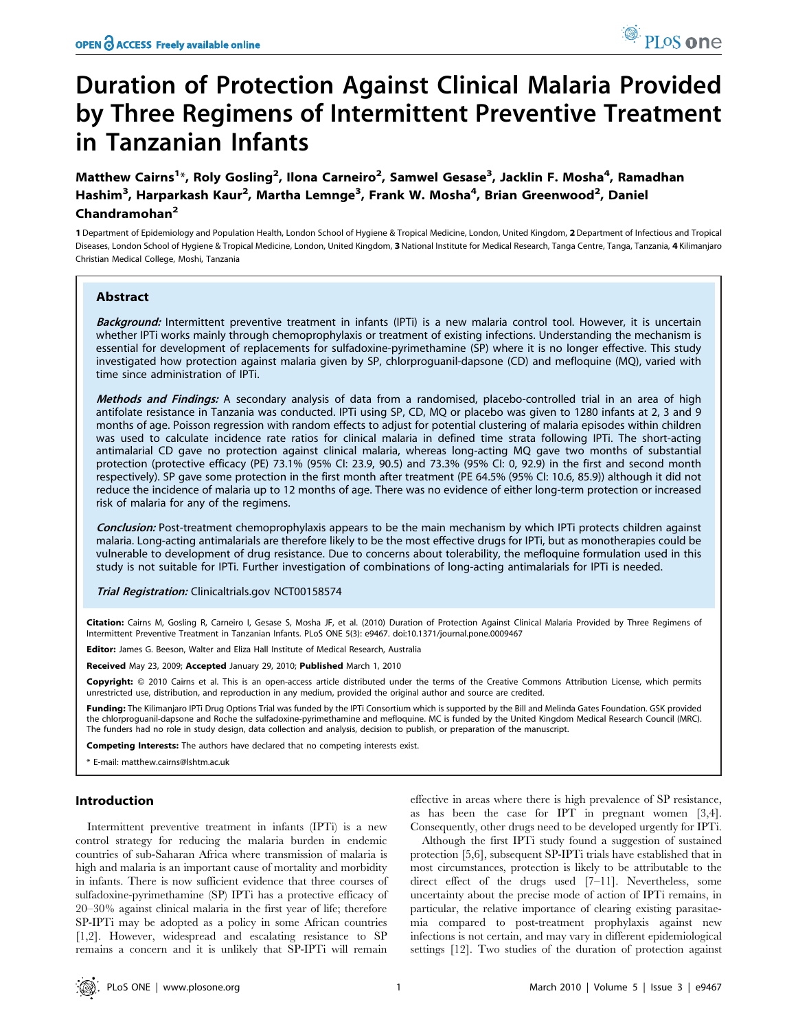# Duration of Protection Against Clinical Malaria Provided by Three Regimens of Intermittent Preventive Treatment in Tanzanian Infants

Matthew Cairns<sup>1</sup>\*, Roly Gosling<sup>2</sup>, Ilona Carneiro<sup>2</sup>, Samwel Gesase<sup>3</sup>, Jacklin F. Mosha<sup>4</sup>, Ramadhan Hashim<sup>3</sup>, Harparkash Kaur<sup>2</sup>, Martha Lemnge<sup>3</sup>, Frank W. Mosha<sup>4</sup>, Brian Greenwood<sup>2</sup>, Daniel Chandramohan<sup>2</sup>

1 Department of Epidemiology and Population Health, London School of Hygiene & Tropical Medicine, London, United Kingdom, 2 Department of Infectious and Tropical Diseases, London School of Hygiene & Tropical Medicine, London, United Kingdom, 3 National Institute for Medical Research, Tanga Centre, Tanga, Tanzania, 4 Kilimanjaro Christian Medical College, Moshi, Tanzania

## Abstract

Background: Intermittent preventive treatment in infants (IPTi) is a new malaria control tool. However, it is uncertain whether IPTi works mainly through chemoprophylaxis or treatment of existing infections. Understanding the mechanism is essential for development of replacements for sulfadoxine-pyrimethamine (SP) where it is no longer effective. This study investigated how protection against malaria given by SP, chlorproguanil-dapsone (CD) and mefloquine (MQ), varied with time since administration of IPTi.

Methods and Findings: A secondary analysis of data from a randomised, placebo-controlled trial in an area of high antifolate resistance in Tanzania was conducted. IPTi using SP, CD, MQ or placebo was given to 1280 infants at 2, 3 and 9 months of age. Poisson regression with random effects to adjust for potential clustering of malaria episodes within children was used to calculate incidence rate ratios for clinical malaria in defined time strata following IPTi. The short-acting antimalarial CD gave no protection against clinical malaria, whereas long-acting MQ gave two months of substantial protection (protective efficacy (PE) 73.1% (95% CI: 23.9, 90.5) and 73.3% (95% CI: 0, 92.9) in the first and second month respectively). SP gave some protection in the first month after treatment (PE 64.5% (95% CI: 10.6, 85.9)) although it did not reduce the incidence of malaria up to 12 months of age. There was no evidence of either long-term protection or increased risk of malaria for any of the regimens.

Conclusion: Post-treatment chemoprophylaxis appears to be the main mechanism by which IPTi protects children against malaria. Long-acting antimalarials are therefore likely to be the most effective drugs for IPTi, but as monotherapies could be vulnerable to development of drug resistance. Due to concerns about tolerability, the mefloquine formulation used in this study is not suitable for IPTi. Further investigation of combinations of long-acting antimalarials for IPTi is needed.

Trial Registration: Clinicaltrials.gov NCT00158574

Citation: Cairns M, Gosling R, Carneiro I, Gesase S, Mosha JF, et al. (2010) Duration of Protection Against Clinical Malaria Provided by Three Regimens of Intermittent Preventive Treatment in Tanzanian Infants. PLoS ONE 5(3): e9467. doi:10.1371/journal.pone.0009467

Editor: James G. Beeson, Walter and Eliza Hall Institute of Medical Research, Australia

Received May 23, 2009; Accepted January 29, 2010; Published March 1, 2010

Copyright: © 2010 Cairns et al. This is an open-access article distributed under the terms of the Creative Commons Attribution License, which permits unrestricted use, distribution, and reproduction in any medium, provided the original author and source are credited.

Funding: The Kilimanjaro IPTi Drug Options Trial was funded by the IPTi Consortium which is supported by the Bill and Melinda Gates Foundation. GSK provided the chlorproguanil-dapsone and Roche the sulfadoxine-pyrimethamine and mefloquine. MC is funded by the United Kingdom Medical Research Council (MRC). The funders had no role in study design, data collection and analysis, decision to publish, or preparation of the manuscript.

Competing Interests: The authors have declared that no competing interests exist.

\* E-mail: matthew.cairns@lshtm.ac.uk

## Introduction

Intermittent preventive treatment in infants (IPTi) is a new control strategy for reducing the malaria burden in endemic countries of sub-Saharan Africa where transmission of malaria is high and malaria is an important cause of mortality and morbidity in infants. There is now sufficient evidence that three courses of sulfadoxine-pyrimethamine (SP) IPTi has a protective efficacy of 20–30% against clinical malaria in the first year of life; therefore SP-IPTi may be adopted as a policy in some African countries [1,2]. However, widespread and escalating resistance to SP remains a concern and it is unlikely that SP-IPTi will remain

effective in areas where there is high prevalence of SP resistance, as has been the case for IPT in pregnant women [3,4]. Consequently, other drugs need to be developed urgently for IPTi.

Although the first IPTi study found a suggestion of sustained protection [5,6], subsequent SP-IPTi trials have established that in most circumstances, protection is likely to be attributable to the direct effect of the drugs used [7–11]. Nevertheless, some uncertainty about the precise mode of action of IPTi remains, in particular, the relative importance of clearing existing parasitaemia compared to post-treatment prophylaxis against new infections is not certain, and may vary in different epidemiological settings [12]. Two studies of the duration of protection against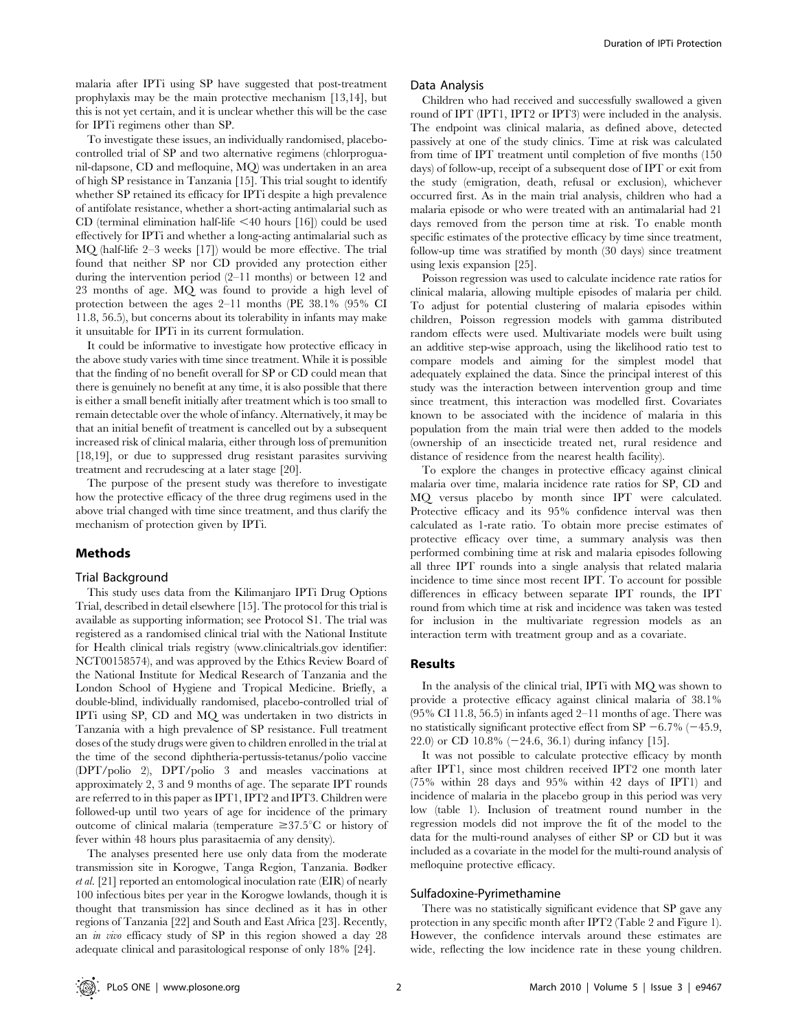malaria after IPTi using SP have suggested that post-treatment prophylaxis may be the main protective mechanism [13,14], but this is not yet certain, and it is unclear whether this will be the case for IPTi regimens other than SP.

To investigate these issues, an individually randomised, placebocontrolled trial of SP and two alternative regimens (chlorproguanil-dapsone, CD and mefloquine, MQ) was undertaken in an area of high SP resistance in Tanzania [15]. This trial sought to identify whether SP retained its efficacy for IPTi despite a high prevalence of antifolate resistance, whether a short-acting antimalarial such as CD (terminal elimination half-life  $\leq 40$  hours [16]) could be used effectively for IPTi and whether a long-acting antimalarial such as MQ (half-life 2–3 weeks [17]) would be more effective. The trial found that neither SP nor CD provided any protection either during the intervention period (2–11 months) or between 12 and 23 months of age. MQ was found to provide a high level of protection between the ages 2–11 months (PE 38.1% (95% CI 11.8, 56.5), but concerns about its tolerability in infants may make it unsuitable for IPTi in its current formulation.

It could be informative to investigate how protective efficacy in the above study varies with time since treatment. While it is possible that the finding of no benefit overall for SP or CD could mean that there is genuinely no benefit at any time, it is also possible that there is either a small benefit initially after treatment which is too small to remain detectable over the whole of infancy. Alternatively, it may be that an initial benefit of treatment is cancelled out by a subsequent increased risk of clinical malaria, either through loss of premunition [18,19], or due to suppressed drug resistant parasites surviving treatment and recrudescing at a later stage [20].

The purpose of the present study was therefore to investigate how the protective efficacy of the three drug regimens used in the above trial changed with time since treatment, and thus clarify the mechanism of protection given by IPTi.

## Methods

#### Trial Background

This study uses data from the Kilimanjaro IPTi Drug Options Trial, described in detail elsewhere [15]. The protocol for this trial is available as supporting information; see Protocol S1. The trial was registered as a randomised clinical trial with the National Institute for Health clinical trials registry (www.clinicaltrials.gov identifier: NCT00158574), and was approved by the Ethics Review Board of the National Institute for Medical Research of Tanzania and the London School of Hygiene and Tropical Medicine. Briefly, a double-blind, individually randomised, placebo-controlled trial of IPTi using SP, CD and MQ was undertaken in two districts in Tanzania with a high prevalence of SP resistance. Full treatment doses of the study drugs were given to children enrolled in the trial at the time of the second diphtheria-pertussis-tetanus/polio vaccine (DPT/polio 2), DPT/polio 3 and measles vaccinations at approximately 2, 3 and 9 months of age. The separate IPT rounds are referred to in this paper as IPT1, IPT2 and IPT3. Children were followed-up until two years of age for incidence of the primary outcome of clinical malaria (temperature  $\geq 37.5^{\circ}C$  or history of fever within 48 hours plus parasitaemia of any density).

The analyses presented here use only data from the moderate transmission site in Korogwe, Tanga Region, Tanzania. Bødker et al. [21] reported an entomological inoculation rate (EIR) of nearly 100 infectious bites per year in the Korogwe lowlands, though it is thought that transmission has since declined as it has in other regions of Tanzania [22] and South and East Africa [23]. Recently, an in vivo efficacy study of SP in this region showed a day 28 adequate clinical and parasitological response of only 18% [24].

#### Data Analysis

Children who had received and successfully swallowed a given round of IPT (IPT1, IPT2 or IPT3) were included in the analysis. The endpoint was clinical malaria, as defined above, detected passively at one of the study clinics. Time at risk was calculated from time of IPT treatment until completion of five months (150 days) of follow-up, receipt of a subsequent dose of IPT or exit from the study (emigration, death, refusal or exclusion), whichever occurred first. As in the main trial analysis, children who had a malaria episode or who were treated with an antimalarial had 21 days removed from the person time at risk. To enable month specific estimates of the protective efficacy by time since treatment, follow-up time was stratified by month (30 days) since treatment using lexis expansion [25].

Poisson regression was used to calculate incidence rate ratios for clinical malaria, allowing multiple episodes of malaria per child. To adjust for potential clustering of malaria episodes within children, Poisson regression models with gamma distributed random effects were used. Multivariate models were built using an additive step-wise approach, using the likelihood ratio test to compare models and aiming for the simplest model that adequately explained the data. Since the principal interest of this study was the interaction between intervention group and time since treatment, this interaction was modelled first. Covariates known to be associated with the incidence of malaria in this population from the main trial were then added to the models (ownership of an insecticide treated net, rural residence and distance of residence from the nearest health facility).

To explore the changes in protective efficacy against clinical malaria over time, malaria incidence rate ratios for SP, CD and MQ versus placebo by month since IPT were calculated. Protective efficacy and its 95% confidence interval was then calculated as 1-rate ratio. To obtain more precise estimates of protective efficacy over time, a summary analysis was then performed combining time at risk and malaria episodes following all three IPT rounds into a single analysis that related malaria incidence to time since most recent IPT. To account for possible differences in efficacy between separate IPT rounds, the IPT round from which time at risk and incidence was taken was tested for inclusion in the multivariate regression models as an interaction term with treatment group and as a covariate.

### Results

In the analysis of the clinical trial, IPTi with MQ was shown to provide a protective efficacy against clinical malaria of 38.1%  $(95\% \text{ CI } 11.8, 56.5)$  in infants aged  $2-11$  months of age. There was no statistically significant protective effect from SP  $-6.7\%$  ( $-45.9$ , 22.0) or CD 10.8%  $(-24.6, 36.1)$  during infancy [15].

It was not possible to calculate protective efficacy by month after IPT1, since most children received IPT2 one month later (75% within 28 days and 95% within 42 days of IPT1) and incidence of malaria in the placebo group in this period was very low (table 1). Inclusion of treatment round number in the regression models did not improve the fit of the model to the data for the multi-round analyses of either SP or CD but it was included as a covariate in the model for the multi-round analysis of mefloquine protective efficacy.

## Sulfadoxine-Pyrimethamine

There was no statistically significant evidence that SP gave any protection in any specific month after IPT2 (Table 2 and Figure 1). However, the confidence intervals around these estimates are wide, reflecting the low incidence rate in these young children.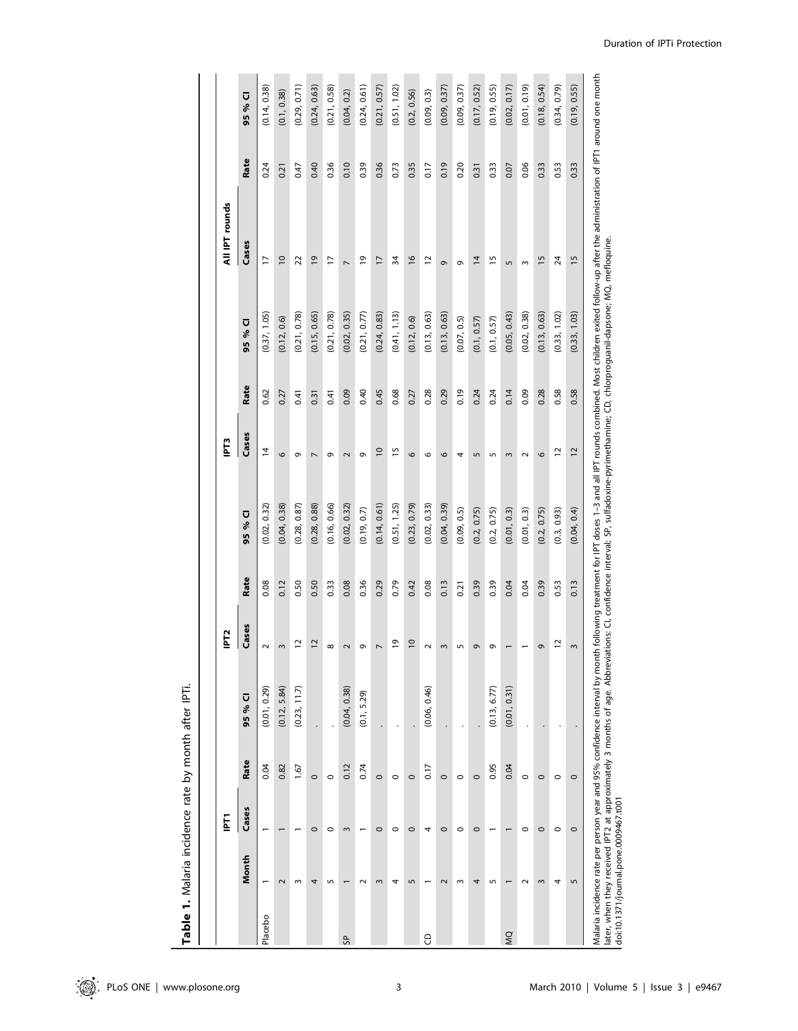|         |                                       | Ē              |         |              | IPT <sub>2</sub> |      |              | IPT3            |      |                                                                                                                                                                                     | All IPT rounds                                                                                                                                                                                                                 |      |              |
|---------|---------------------------------------|----------------|---------|--------------|------------------|------|--------------|-----------------|------|-------------------------------------------------------------------------------------------------------------------------------------------------------------------------------------|--------------------------------------------------------------------------------------------------------------------------------------------------------------------------------------------------------------------------------|------|--------------|
|         | Month                                 | Cases          | Rate    | 95 % CI      | Cases            | Rate | 95 % CI      | Cases           | Rate | 95 % CI                                                                                                                                                                             | Cases                                                                                                                                                                                                                          | Rate | 95 % CI      |
| Placebo |                                       |                | 0.04    | (0.01, 0.29) | $\sim$           | 0.08 | (0.02, 0.32) | $\overline{4}$  | 0.62 | (0.37, 1.05)                                                                                                                                                                        | $\overline{1}$                                                                                                                                                                                                                 | 0.24 | (0.14, 0.38) |
|         | $\sim$                                |                | 0.82    | (0.12, 5.84) | $\mathsf{m}$     | 0.12 | (0.04, 0.38) | $\circ$         | 0.27 | (0.12, 0.6)                                                                                                                                                                         | $\overline{0}$                                                                                                                                                                                                                 | 0.21 | (0.1, 0.38)  |
|         | S                                     |                | 1.67    | (0.23, 11.7) | $\overline{1}$   | 0.50 | (0.28, 0.87) | e               | 0.41 | (0.21, 0.78)                                                                                                                                                                        | 22                                                                                                                                                                                                                             | 0.47 | (0.29, 0.71) |
|         | 4                                     | $\circ$        | $\circ$ |              | $\overline{c}$   | 0.50 | (0.28, 0.88) | $\overline{ }$  | 0.31 | (0.15, 0.65)                                                                                                                                                                        | $\overline{9}$                                                                                                                                                                                                                 | 0.40 | (0.24, 0.63) |
|         | 5                                     | $\circ$        | $\circ$ |              | $\infty$         | 0.33 | (0.16, 0.66) | G               | 0.41 | (0.21, 0.78)                                                                                                                                                                        | F                                                                                                                                                                                                                              | 0.36 | (0.21, 0.58) |
| SP.     |                                       | $\sim$         | 0.12    | (0.04, 0.38) | $\sim$           | 0.08 | (0.02, 0.32) | $\sim$          | 0.09 | (0.02, 0.35)                                                                                                                                                                        | $\overline{ }$                                                                                                                                                                                                                 | 0.10 | (0.04, 0.2)  |
|         | $\sim$                                |                | 0.74    | (0.1, 5.29)  | Ō                | 0.36 | (0.19, 0.7)  | G               | 0.40 | (0.21, 0.77)                                                                                                                                                                        | $\overline{e}$                                                                                                                                                                                                                 | 0.39 | (0.24, 0.61) |
|         | 3                                     | $\circ$        | $\circ$ |              | $\overline{ }$   | 0.29 | (0.14, 0.61) | $\overline{0}$  | 0.45 | (0.24, 0.83)                                                                                                                                                                        | $\overline{1}$                                                                                                                                                                                                                 | 0.36 | (0.21, 0.57) |
|         | 4                                     | $\circ$        | $\circ$ |              | $\overline{0}$   | 0.79 | (0.51, 1.25) | $\overline{1}$  | 0.68 | (0.41, 1.13)                                                                                                                                                                        | 54                                                                                                                                                                                                                             | 0.73 | (0.51, 1.02) |
|         | 5                                     | $\circ$        | $\circ$ |              | $\overline{0}$   | 0.42 | (0.23, 0.79) | 9               | 0.27 | (0.12, 0.6)                                                                                                                                                                         | $\frac{8}{2}$                                                                                                                                                                                                                  | 0.35 | (0.2, 0.56)  |
| θ       |                                       | 4              | 0.17    | (0.06, 0.46) | $\sim$           | 0.08 | (0.02, 0.33) | 6               | 0.28 | (0.13, 0.63)                                                                                                                                                                        | 12                                                                                                                                                                                                                             | 0.17 | (0.09, 0.3)  |
|         | $\sim$                                | $\circ$        | $\circ$ |              | $\mathsf{S}$     | 0.13 | (0.04, 0.39) | 6               | 0.29 | (0.13, 0.63)                                                                                                                                                                        | ō                                                                                                                                                                                                                              | 0.19 | (0.09, 0.37) |
|         | ω                                     | $\circ$        | $\circ$ |              | LO               | 0.21 | (0.09, 0.5)  | 4               | 0.19 | (0.07, 0.5)                                                                                                                                                                         | Ō                                                                                                                                                                                                                              | 0.20 | (0.09, 0.37) |
|         | 4                                     | $\circ$        | $\circ$ |              | G                | 0.39 | (0.2, 0.75)  | $\sqrt{ }$      | 0.24 | (0.1, 0.57)                                                                                                                                                                         | $\overline{4}$                                                                                                                                                                                                                 | 0.31 | (0.17, 0.52) |
|         | $\sqrt{2}$                            |                | 0.95    | (0.13, 6.77) | G                | 0.39 | (0.2, 0.75)  | LO              | 0.24 | (0.1, 0.57)                                                                                                                                                                         | $\overline{1}$                                                                                                                                                                                                                 | 0.33 | (0.19, 0.55) |
| Q       |                                       | $\blacksquare$ | 0.04    | (0.01, 0.31) |                  | 0.04 | (0.01, 0.3)  | 3               | 0.14 | (0.05, 0.43)                                                                                                                                                                        | 5                                                                                                                                                                                                                              | 0.07 | (0.02, 0.17) |
|         | $\sim$                                | $\circ$        | $\circ$ |              |                  | 0.04 | (0.01, 0.3)  | $\sim$          | 0.09 | (0.02, 0.38)                                                                                                                                                                        | $\mathsf{S}$                                                                                                                                                                                                                   | 0.06 | (0.01, 0.19) |
|         | 3                                     | $\circ$        | $\circ$ |              | G                | 0.39 | (0.2, 0.75)  | $\circ$         | 0.28 | (0.13, 0.63)                                                                                                                                                                        | $\frac{5}{2}$                                                                                                                                                                                                                  | 0.33 | (0.18, 0.54) |
|         | 4                                     | $\circ$        | $\circ$ |              | $\overline{C}$   | 0.53 | (0.3, 0.93)  | $\overline{1}$  | 0.58 | (0.33, 1.02)                                                                                                                                                                        | 24                                                                                                                                                                                                                             | 0.53 | (0.34, 0.79) |
|         | 5                                     | $\circ$        | $\circ$ |              | 3                | 0.13 | (0.04, 0.4)  | $\overline{12}$ | 0.58 | (0.33, 1.03)                                                                                                                                                                        | 15                                                                                                                                                                                                                             | 0.33 | (0.19, 0.55) |
|         | doi:10.1371/journal.pone.0009467.t001 |                |         |              |                  |      |              |                 |      | later, when they received IPT2 at approximately 3 months of age. Abbreviations: CI, confidence interval; SP, sulfadoxine-pyrimethamine; CD, chlorproguanil-dapsone; MQ, mefloquine. | Malaria incidence rate per person year and 95% confidence interval by month following treatment for IPT doses 1–3 and all IPT rounds combined. Most children exited follow-up after the administration of IPT1 around one mont |      |              |

Table 1. Malaria incidence rate by month after IPTI. Table 1. Malaria incidence rate by month after IPTi.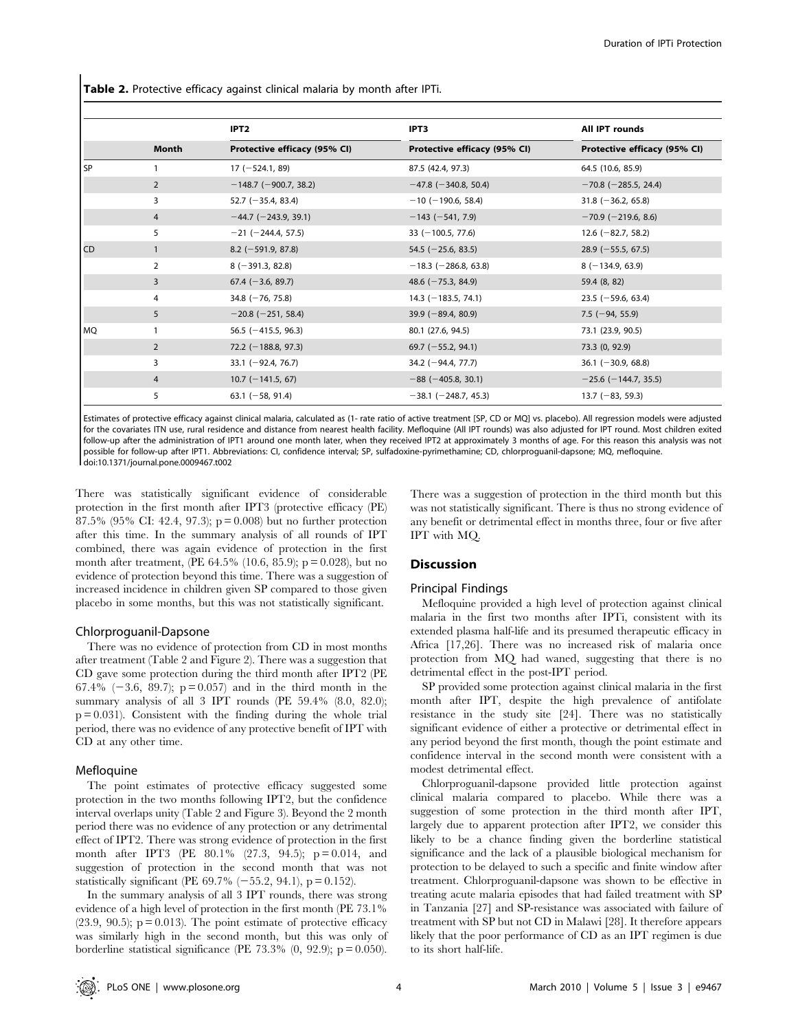Table 2. Protective efficacy against clinical malaria by month after IPTi.

|           |                | IPT <sub>2</sub>             | IPT3                         | All IPT rounds               |
|-----------|----------------|------------------------------|------------------------------|------------------------------|
|           | Month          | Protective efficacy (95% CI) | Protective efficacy (95% CI) | Protective efficacy (95% CI) |
| SP        |                | $17 (-524.1, 89)$            | 87.5 (42.4, 97.3)            | 64.5 (10.6, 85.9)            |
|           | $\overline{2}$ | $-148.7$ (-900.7, 38.2)      | $-47.8$ ( $-340.8$ , 50.4)   | $-70.8$ (-285.5, 24.4)       |
|           | 3              | 52.7 $(-35.4, 83.4)$         | $-10$ (-190.6, 58.4)         | $31.8$ (-36.2, 65.8)         |
|           | $\overline{4}$ | $-44.7$ (-243.9, 39.1)       | $-143 (-541, 7.9)$           | $-70.9$ ( $-219.6$ , 8.6)    |
|           | 5              | $-21$ (-244.4, 57.5)         | 33 $(-100.5, 77.6)$          | 12.6 $(-82.7, 58.2)$         |
| CD        | 1              | $8.2$ (-591.9, 87.8)         | 54.5 $(-25.6, 83.5)$         | $28.9$ (-55.5, 67.5)         |
|           | 2              | $8(-391.3, 82.8)$            | $-18.3$ ( $-286.8$ , 63.8)   | $8(-134.9, 63.9)$            |
|           | 3              | $67.4 (-3.6, 89.7)$          | 48.6 $(-75.3, 84.9)$         | 59.4 (8, 82)                 |
|           | 4              | 34.8 $(-76, 75.8)$           | $14.3$ (-183.5, 74.1)        | $23.5$ (-59.6, 63.4)         |
|           | 5              | $-20.8$ ( $-251$ , 58.4)     | $39.9 (-89.4, 80.9)$         | $7.5$ (-94, 55.9)            |
| <b>MQ</b> |                | 56.5 $(-415.5, 96.3)$        | 80.1 (27.6, 94.5)            | 73.1 (23.9, 90.5)            |
|           | $\overline{2}$ | $72.2$ (-188.8, 97.3)        | $69.7$ (-55.2, 94.1)         | 73.3 (0, 92.9)               |
|           | 3              | $33.1$ (-92.4, 76.7)         | 34.2 $(-94.4, 77.7)$         | $36.1$ (-30.9, 68.8)         |
|           | $\overline{4}$ | $10.7$ (-141.5, 67)          | $-88$ ( $-405.8$ , 30.1)     | $-25.6$ (-144.7, 35.5)       |
|           | 5              | 63.1 $(-58, 91.4)$           | $-38.1$ ( $-248.7$ , 45.3)   | $13.7 (-83, 59.3)$           |

Estimates of protective efficacy against clinical malaria, calculated as (1- rate ratio of active treatment [SP, CD or MQ] vs. placebo). All regression models were adjusted for the covariates ITN use, rural residence and distance from nearest health facility. Mefloquine (All IPT rounds) was also adjusted for IPT round. Most children exited follow-up after the administration of IPT1 around one month later, when they received IPT2 at approximately 3 months of age. For this reason this analysis was not possible for follow-up after IPT1. Abbreviations: CI, confidence interval; SP, sulfadoxine-pyrimethamine; CD, chlorproguanil-dapsone; MQ, mefloquine. doi:10.1371/journal.pone.0009467.t002

There was statistically significant evidence of considerable protection in the first month after IPT3 (protective efficacy (PE) 87.5% (95% CI: 42.4, 97.3); p = 0.008) but no further protection after this time. In the summary analysis of all rounds of IPT combined, there was again evidence of protection in the first month after treatment, (PE 64.5% (10.6, 85.9);  $p = 0.028$ ), but no evidence of protection beyond this time. There was a suggestion of increased incidence in children given SP compared to those given placebo in some months, but this was not statistically significant.

#### Chlorproguanil-Dapsone

There was no evidence of protection from CD in most months after treatment (Table 2 and Figure 2). There was a suggestion that CD gave some protection during the third month after IPT2 (PE 67.4% ( $-3.6$ , 89.7); p = 0.057) and in the third month in the summary analysis of all 3 IPT rounds (PE 59.4% (8.0, 82.0);  $p = 0.031$ ). Consistent with the finding during the whole trial period, there was no evidence of any protective benefit of IPT with CD at any other time.

#### Mefloquine

The point estimates of protective efficacy suggested some protection in the two months following IPT2, but the confidence interval overlaps unity (Table 2 and Figure 3). Beyond the 2 month period there was no evidence of any protection or any detrimental effect of IPT2. There was strong evidence of protection in the first month after IPT3 (PE 80.1% (27.3, 94.5); p = 0.014, and suggestion of protection in the second month that was not statistically significant (PE 69.7%  $(-55.2, 94.1)$ , p = 0.152).

In the summary analysis of all 3 IPT rounds, there was strong evidence of a high level of protection in the first month (PE 73.1%  $(23.9, 90.5)$ ;  $p = 0.013$ ). The point estimate of protective efficacy was similarly high in the second month, but this was only of borderline statistical significance (PE 73.3%  $(0, 92.9)$ ; p = 0.050).

There was a suggestion of protection in the third month but this was not statistically significant. There is thus no strong evidence of any benefit or detrimental effect in months three, four or five after IPT with MQ.

# Discussion

## Principal Findings

Mefloquine provided a high level of protection against clinical malaria in the first two months after IPTi, consistent with its extended plasma half-life and its presumed therapeutic efficacy in Africa [17,26]. There was no increased risk of malaria once protection from MQ had waned, suggesting that there is no detrimental effect in the post-IPT period.

SP provided some protection against clinical malaria in the first month after IPT, despite the high prevalence of antifolate resistance in the study site [24]. There was no statistically significant evidence of either a protective or detrimental effect in any period beyond the first month, though the point estimate and confidence interval in the second month were consistent with a modest detrimental effect.

Chlorproguanil-dapsone provided little protection against clinical malaria compared to placebo. While there was a suggestion of some protection in the third month after IPT, largely due to apparent protection after IPT2, we consider this likely to be a chance finding given the borderline statistical significance and the lack of a plausible biological mechanism for protection to be delayed to such a specific and finite window after treatment. Chlorproguanil-dapsone was shown to be effective in treating acute malaria episodes that had failed treatment with SP in Tanzania [27] and SP-resistance was associated with failure of treatment with SP but not CD in Malawi [28]. It therefore appears likely that the poor performance of CD as an IPT regimen is due to its short half-life.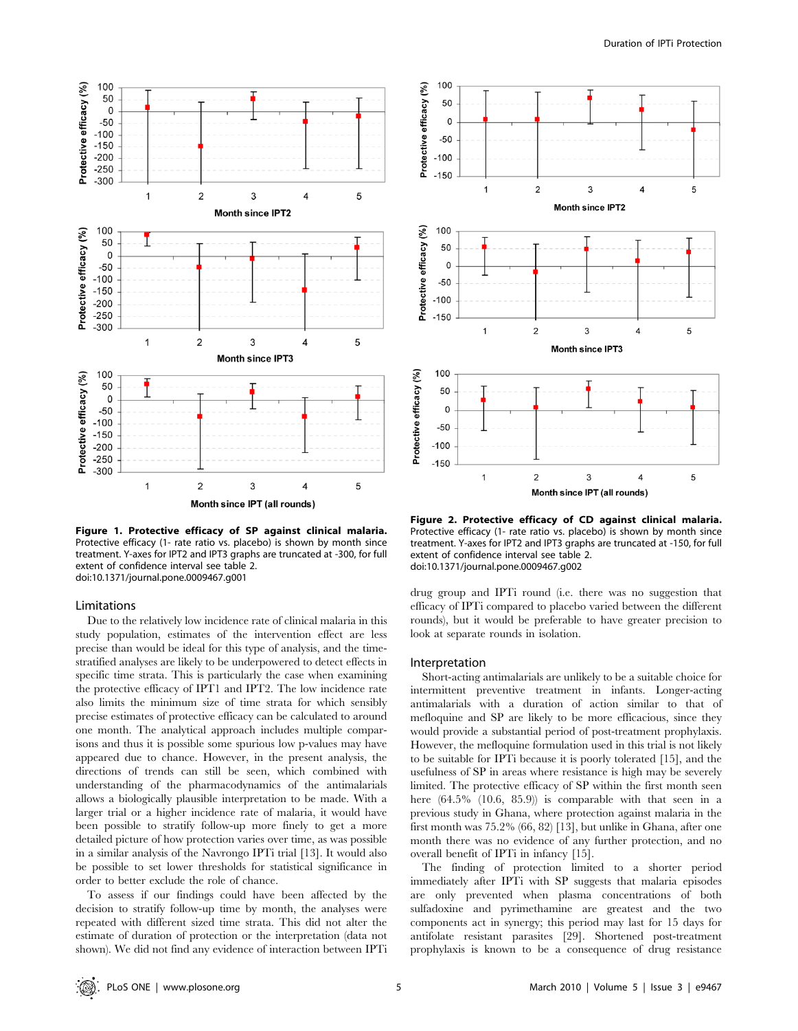

Figure 1. Protective efficacy of SP against clinical malaria. Protective efficacy (1- rate ratio vs. placebo) is shown by month since treatment. Y-axes for IPT2 and IPT3 graphs are truncated at -300, for full extent of confidence interval see table 2. doi:10.1371/journal.pone.0009467.g001

#### **Limitations**

Due to the relatively low incidence rate of clinical malaria in this study population, estimates of the intervention effect are less precise than would be ideal for this type of analysis, and the timestratified analyses are likely to be underpowered to detect effects in specific time strata. This is particularly the case when examining the protective efficacy of IPT1 and IPT2. The low incidence rate also limits the minimum size of time strata for which sensibly precise estimates of protective efficacy can be calculated to around one month. The analytical approach includes multiple comparisons and thus it is possible some spurious low p-values may have appeared due to chance. However, in the present analysis, the directions of trends can still be seen, which combined with understanding of the pharmacodynamics of the antimalarials allows a biologically plausible interpretation to be made. With a larger trial or a higher incidence rate of malaria, it would have been possible to stratify follow-up more finely to get a more detailed picture of how protection varies over time, as was possible in a similar analysis of the Navrongo IPTi trial [13]. It would also be possible to set lower thresholds for statistical significance in order to better exclude the role of chance.

To assess if our findings could have been affected by the decision to stratify follow-up time by month, the analyses were repeated with different sized time strata. This did not alter the estimate of duration of protection or the interpretation (data not shown). We did not find any evidence of interaction between IPTi



Figure 2. Protective efficacy of CD against clinical malaria. Protective efficacy (1- rate ratio vs. placebo) is shown by month since treatment. Y-axes for IPT2 and IPT3 graphs are truncated at -150, for full extent of confidence interval see table 2. doi:10.1371/journal.pone.0009467.g002

drug group and IPTi round (i.e. there was no suggestion that efficacy of IPTi compared to placebo varied between the different rounds), but it would be preferable to have greater precision to look at separate rounds in isolation.

#### Interpretation

Short-acting antimalarials are unlikely to be a suitable choice for intermittent preventive treatment in infants. Longer-acting antimalarials with a duration of action similar to that of mefloquine and SP are likely to be more efficacious, since they would provide a substantial period of post-treatment prophylaxis. However, the mefloquine formulation used in this trial is not likely to be suitable for IPTi because it is poorly tolerated [15], and the usefulness of SP in areas where resistance is high may be severely limited. The protective efficacy of SP within the first month seen here  $(64.5\%$   $(10.6, 85.9))$  is comparable with that seen in a previous study in Ghana, where protection against malaria in the first month was 75.2% (66, 82) [13], but unlike in Ghana, after one month there was no evidence of any further protection, and no overall benefit of IPTi in infancy [15].

The finding of protection limited to a shorter period immediately after IPTi with SP suggests that malaria episodes are only prevented when plasma concentrations of both sulfadoxine and pyrimethamine are greatest and the two components act in synergy; this period may last for 15 days for antifolate resistant parasites [29]. Shortened post-treatment prophylaxis is known to be a consequence of drug resistance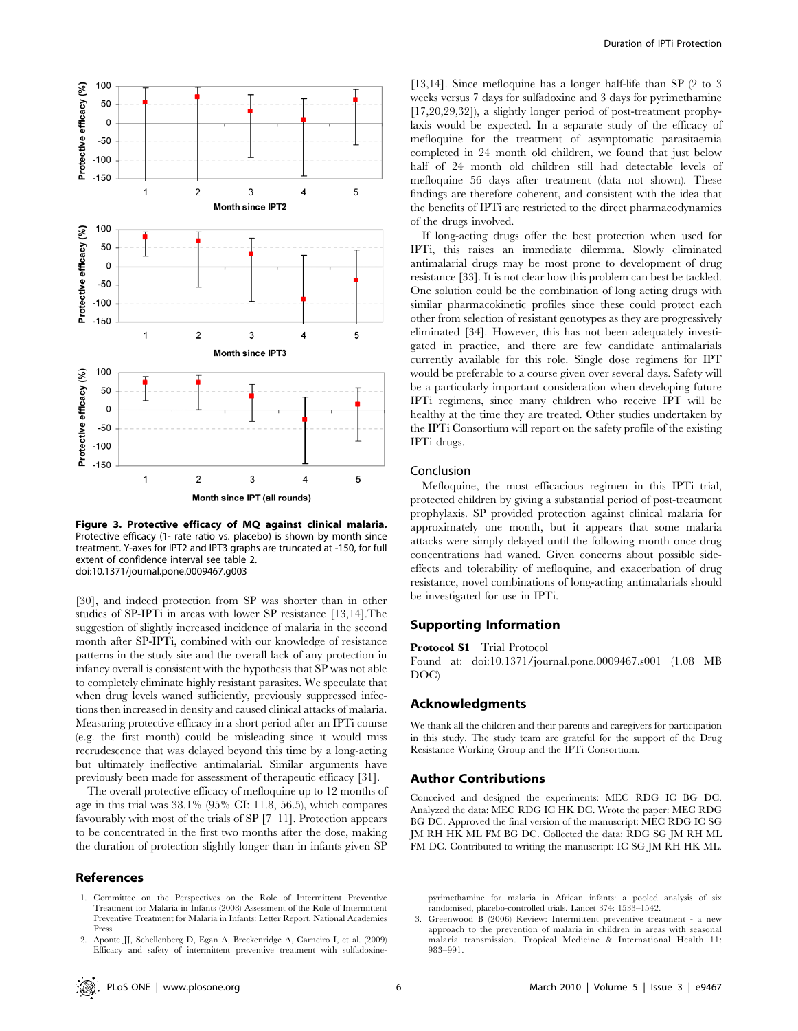

Figure 3. Protective efficacy of MQ against clinical malaria. Protective efficacy (1- rate ratio vs. placebo) is shown by month since treatment. Y-axes for IPT2 and IPT3 graphs are truncated at -150, for full extent of confidence interval see table 2. doi:10.1371/journal.pone.0009467.g003

[30], and indeed protection from SP was shorter than in other studies of SP-IPTi in areas with lower SP resistance [13,14].The suggestion of slightly increased incidence of malaria in the second month after SP-IPTi, combined with our knowledge of resistance patterns in the study site and the overall lack of any protection in infancy overall is consistent with the hypothesis that SP was not able to completely eliminate highly resistant parasites. We speculate that when drug levels waned sufficiently, previously suppressed infections then increased in density and caused clinical attacks of malaria. Measuring protective efficacy in a short period after an IPTi course (e.g. the first month) could be misleading since it would miss recrudescence that was delayed beyond this time by a long-acting but ultimately ineffective antimalarial. Similar arguments have previously been made for assessment of therapeutic efficacy [31].

The overall protective efficacy of mefloquine up to 12 months of age in this trial was 38.1% (95% CI: 11.8, 56.5), which compares favourably with most of the trials of SP  $[7-11]$ . Protection appears to be concentrated in the first two months after the dose, making the duration of protection slightly longer than in infants given SP

#### References

- 1. Committee on the Perspectives on the Role of Intermittent Preventive Treatment for Malaria in Infants (2008) Assessment of the Role of Intermittent Preventive Treatment for Malaria in Infants: Letter Report. National Academies Press.
- 2. Aponte JJ, Schellenberg D, Egan A, Breckenridge A, Carneiro I, et al. (2009) Efficacy and safety of intermittent preventive treatment with sulfadoxine-

[13,14]. Since mefloquine has a longer half-life than SP (2 to 3 weeks versus 7 days for sulfadoxine and 3 days for pyrimethamine [17,20,29,32]), a slightly longer period of post-treatment prophylaxis would be expected. In a separate study of the efficacy of mefloquine for the treatment of asymptomatic parasitaemia completed in 24 month old children, we found that just below half of 24 month old children still had detectable levels of mefloquine 56 days after treatment (data not shown). These findings are therefore coherent, and consistent with the idea that the benefits of IPTi are restricted to the direct pharmacodynamics of the drugs involved.

If long-acting drugs offer the best protection when used for IPTi, this raises an immediate dilemma. Slowly eliminated antimalarial drugs may be most prone to development of drug resistance [33]. It is not clear how this problem can best be tackled. One solution could be the combination of long acting drugs with similar pharmacokinetic profiles since these could protect each other from selection of resistant genotypes as they are progressively eliminated [34]. However, this has not been adequately investigated in practice, and there are few candidate antimalarials currently available for this role. Single dose regimens for IPT would be preferable to a course given over several days. Safety will be a particularly important consideration when developing future IPTi regimens, since many children who receive IPT will be healthy at the time they are treated. Other studies undertaken by the IPTi Consortium will report on the safety profile of the existing IPTi drugs.

## Conclusion

Mefloquine, the most efficacious regimen in this IPTi trial, protected children by giving a substantial period of post-treatment prophylaxis. SP provided protection against clinical malaria for approximately one month, but it appears that some malaria attacks were simply delayed until the following month once drug concentrations had waned. Given concerns about possible sideeffects and tolerability of mefloquine, and exacerbation of drug resistance, novel combinations of long-acting antimalarials should be investigated for use in IPTi.

## Supporting Information

#### Protocol S1 Trial Protocol

Found at: doi:10.1371/journal.pone.0009467.s001 (1.08 MB DOC)

## Acknowledgments

We thank all the children and their parents and caregivers for participation in this study. The study team are grateful for the support of the Drug Resistance Working Group and the IPTi Consortium.

#### Author Contributions

Conceived and designed the experiments: MEC RDG IC BG DC. Analyzed the data: MEC RDG IC HK DC. Wrote the paper: MEC RDG BG DC. Approved the final version of the manuscript: MEC RDG IC SG JM RH HK ML FM BG DC. Collected the data: RDG SG JM RH ML FM DC. Contributed to writing the manuscript: IC SG JM RH HK ML.

pyrimethamine for malaria in African infants: a pooled analysis of six randomised, placebo-controlled trials. Lancet 374: 1533–1542.

3. Greenwood B (2006) Review: Intermittent preventive treatment - a new approach to the prevention of malaria in children in areas with seasonal malaria transmission. Tropical Medicine & International Health 11: 983–991.